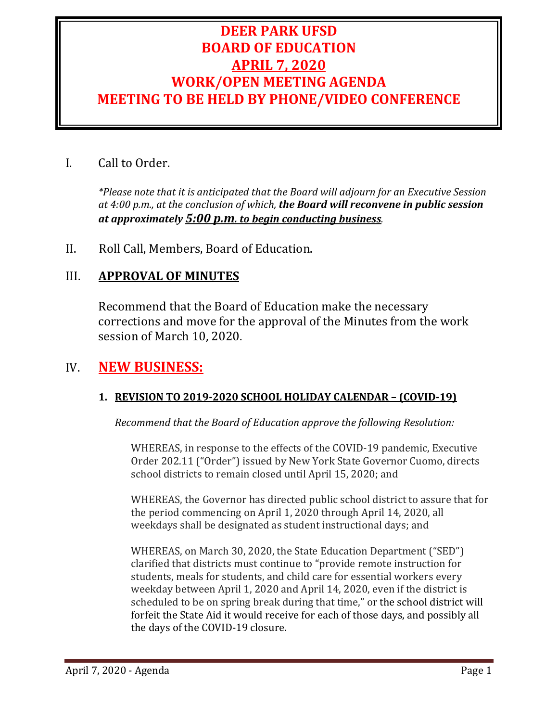# **DEER PARK UFSD BOARD OF EDUCATION APRIL 7, 2020 WORK/OPEN MEETING AGENDA MEETING TO BE HELD BY PHONE/VIDEO CONFERENCE**

## I. Call to Order.

*\*Please note that it is anticipated that the Board will adjourn for an Executive Session at 4:00 p.m., at the conclusion of which, the Board will reconvene in public session at approximately 5:00 p.m. to begin conducting business.*

II. Roll Call, Members, Board of Education.

## III. **APPROVAL OF MINUTES**

Recommend that the Board of Education make the necessary corrections and move for the approval of the Minutes from the work session of March 10, 2020.

## IV. **NEW BUSINESS:**

### **1. REVISION TO 2019-2020 SCHOOL HOLIDAY CALENDAR – (COVID-19)**

*Recommend that the Board of Education approve the following Resolution:*

WHEREAS, in response to the effects of the COVID-19 pandemic, Executive Order 202.11 ("Order") issued by New York State Governor Cuomo, directs school districts to remain closed until April 15, 2020; and

WHEREAS, the Governor has directed public school district to assure that for the period commencing on April 1, 2020 through April 14, 2020, all weekdays shall be designated as student instructional days; and

WHEREAS, on March 30, 2020, the State Education Department ("SED") clarified that districts must continue to "provide remote instruction for students, meals for students, and child care for essential workers every weekday between April 1, 2020 and April 14, 2020, even if the district is scheduled to be on spring break during that time," or the school district will forfeit the State Aid it would receive for each of those days, and possibly all the days of the COVID-19 closure.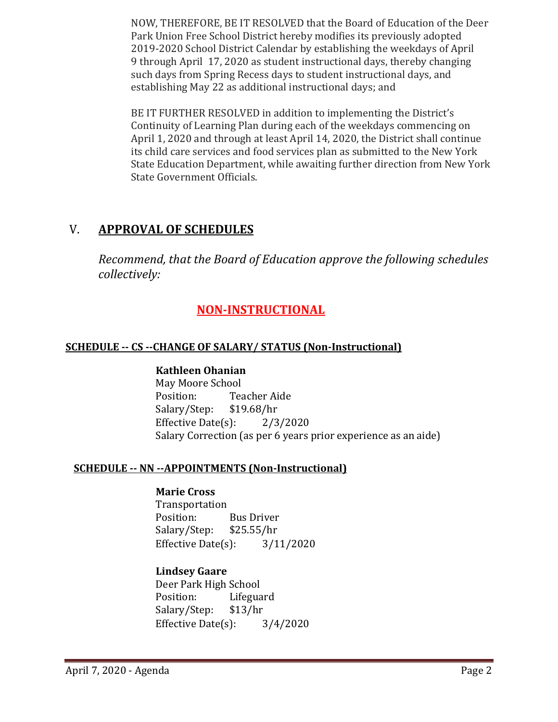NOW, THEREFORE, BE IT RESOLVED that the Board of Education of the Deer Park Union Free School District hereby modifies its previously adopted 2019-2020 School District Calendar by establishing the weekdays of April 9 through April 17, 2020 as student instructional days, thereby changing such days from Spring Recess days to student instructional days, and establishing May 22 as additional instructional days; and

BE IT FURTHER RESOLVED in addition to implementing the District's Continuity of Learning Plan during each of the weekdays commencing on April 1, 2020 and through at least April 14, 2020, the District shall continue its child care services and food services plan as submitted to the New York State Education Department, while awaiting further direction from New York State Government Officials.

# V. **APPROVAL OF SCHEDULES**

*Recommend, that the Board of Education approve the following schedules collectively:*

# **NON-INSTRUCTIONAL**

### **SCHEDULE -- CS --CHANGE OF SALARY/ STATUS (Non-Instructional)**

### **Kathleen Ohanian**

May Moore School<br>Position: Tea Teacher Aide<br>\$19.68/hr Salary/Step: Effective Date $(s)$ : 2/3/2020 Salary Correction (as per 6 years prior experience as an aide)

### **SCHEDULE -- NN --APPOINTMENTS (Non-Instructional)**

#### **Marie Cross**

Transportation<br>Position: Bus Driver<br>\$25.55/hr Salary/Step: Effective Date(s): 3/11/2020

### **Lindsey Gaare**

Deer Park High School<br>Position: Lifegua Lifeguard<br>\$13/hr Salary/Step: Effective Date(s): 3/4/2020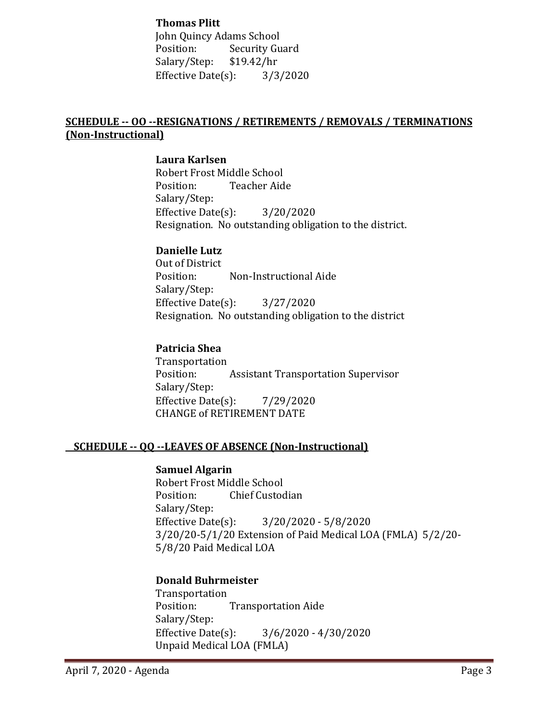**Thomas Plitt** John Quincy Adams School<br>Position: Security Gu Security Guard<br>\$19.42/hr Salary/Step: \$19.42/hr<br>Effective Date(s): 3/3/2020 Effective Date $(s)$ :

#### **SCHEDULE -- OO --RESIGNATIONS / RETIREMENTS / REMOVALS / TERMINATIONS (Non-Instructional)**

#### **Laura Karlsen**

Robert Frost Middle School Teacher Aide Salary/Step: Effective Date(s): 3/20/2020 Resignation. No outstanding obligation to the district.

#### **Danielle Lutz**

Out of District<br>Position: Non-Instructional Aide Salary/Step: Effective Date(s): 3/27/2020 Resignation. No outstanding obligation to the district

#### **Patricia Shea**

Transportation<br>Position: **Assistant Transportation Supervisor** Salary/Step: Effective Date $(s)$ : 7/29/2020 CHANGE of RETIREMENT DATE

#### **SCHEDULE -- QQ --LEAVES OF ABSENCE (Non-Instructional)**

#### **Samuel Algarin**

Robert Frost Middle School<br>Position: Chief Custoc **Chief Custodian** Salary/Step:<br>Effective Date(s):  $3/20/2020 - 5/8/2020$ 3/20/20-5/1/20 Extension of Paid Medical LOA (FMLA) 5/2/20- 5/8/20 Paid Medical LOA

#### **Donald Buhrmeister**

Transportation **Transportation Aide** Salary/Step:<br>Effective Date(s):  $3/6/2020 - 4/30/2020$ Unpaid Medical LOA (FMLA)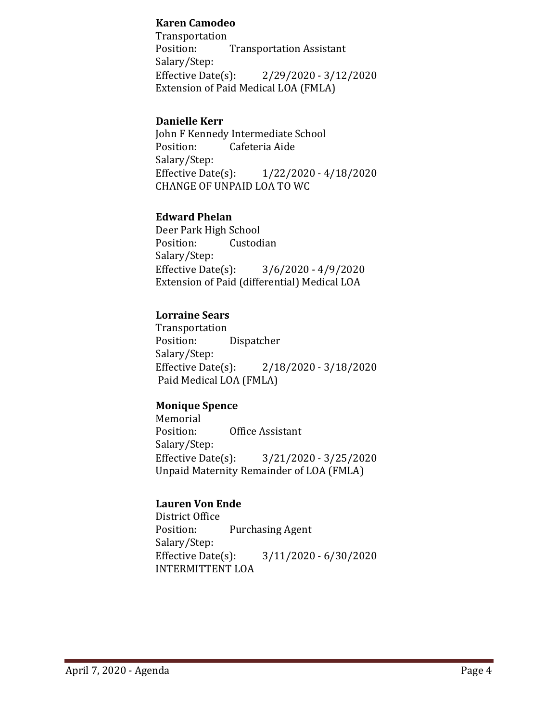#### **Karen Camodeo**

Transportation<br>Position: **Transportation Assistant** Salary/Step:<br>Effective Date(s):  $2/29/2020 - 3/12/2020$ Extension of Paid Medical LOA (FMLA)

#### **Danielle Kerr**

John F Kennedy Intermediate School<br>Position: Cafeteria Aide Cafeteria Aide Salary/Step:<br>Effective Date(s): Effective Date(s): 1/22/2020 - 4/18/2020 CHANGE OF UNPAID LOA TO WC

#### **Edward Phelan**

Deer Park High School<br>Position: Custod Custodian Salary/Step:<br>Effective Date(s):  $3/6/2020 - 4/9/2020$ Extension of Paid (differential) Medical LOA

### **Lorraine Sears**

Transportation Dispatcher Salary/Step:<br>Effective Date(s): Effective Date(s): 2/18/2020 - 3/18/2020 Paid Medical LOA (FMLA)

### **Monique Spence**

Memorial<br>Position: Office Assistant Salary/Step:<br>Effective Date(s):  $3/21/2020 - 3/25/2020$ Unpaid Maternity Remainder of LOA (FMLA)

### **Lauren Von Ende**

District Office<br>Position: Purchasing Agent Salary/Step:<br>Effective Date(s):  $3/11/2020 - 6/30/2020$ INTERMITTENT LOA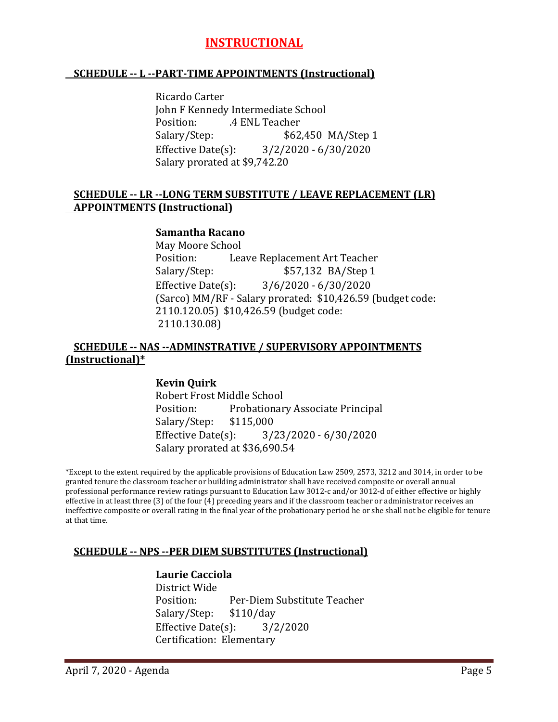## **INSTRUCTIONAL**

#### **SCHEDULE -- L --PART-TIME APPOINTMENTS (Instructional)**

Ricardo Carter John F Kennedy Intermediate School Position: .4 ENL Teacher<br>Salary/Step: \$62 \$62,450 MA/Step 1 Effective Date(s): 3/2/2020 - 6/30/2020 Salary prorated at \$9,742.20

#### **SCHEDULE -- LR --LONG TERM SUBSTITUTE / LEAVE REPLACEMENT (LR) APPOINTMENTS (Instructional)**

#### **Samantha Racano**

May Moore School Leave Replacement Art Teacher Salary/Step:  $$57,132$  BA/Step 1 Effective Date(s): 3/6/2020 - 6/30/2020 (Sarco) MM/RF - Salary prorated: \$10,426.59 (budget code: 2110.120.05) \$10,426.59 (budget code: 2110.130.08)

#### **SCHEDULE -- NAS --ADMINSTRATIVE / SUPERVISORY APPOINTMENTS (Instructional)\***

#### **Kevin Quirk**

Robert Frost Middle School Probationary Associate Principal<br>\$115,000 Salary/Step: Effective Date(s): 3/23/2020 - 6/30/2020 Salary prorated at \$36,690.54

\*Except to the extent required by the applicable provisions of Education Law 2509, 2573, 3212 and 3014, in order to be granted tenure the classroom teacher or building administrator shall have received composite or overall annual professional performance review ratings pursuant to Education Law 3012-c and/or 3012-d of either effective or highly effective in at least three (3) of the four (4) preceding years and if the classroom teacher or administrator receives an ineffective composite or overall rating in the final year of the probationary period he or she shall not be eligible for tenure at that time.

#### **SCHEDULE -- NPS --PER DIEM SUBSTITUTES (Instructional)**

#### **Laurie Cacciola**

District Wide Per-Diem Substitute Teacher<br>\$110/day Salary/Step: \$110/day<br>Effective Date(s): 3/2/2020 Effective Date $(s)$ : Certification: Elementary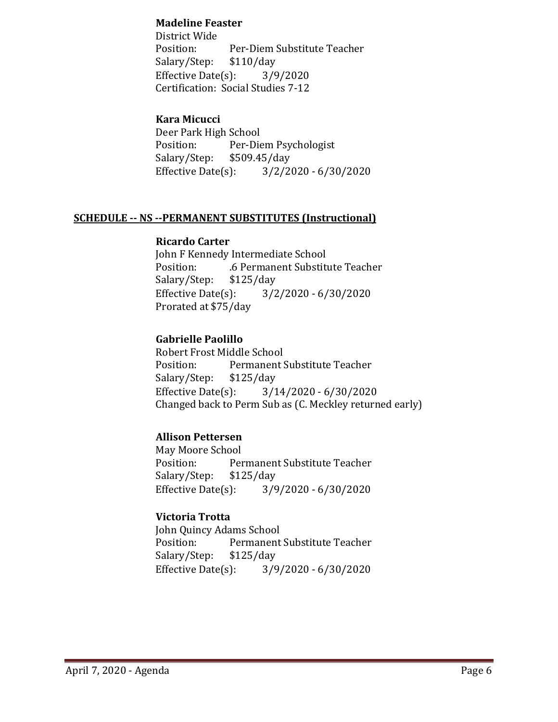#### **Madeline Feaster**

District Wide Per-Diem Substitute Teacher<br>\$110/day Salary/Step: \$110/day<br>Effective Date(s): 3/9/2020 Effective Date $(s)$ : Certification: Social Studies 7-12

#### **Kara Micucci**

Deer Park High School<br>Position: Per-Die Per-Diem Psychologist<br>\$509.45/day Salary/Step: \$5<br>Effective Date(s):  $3/2/2020 - 6/30/2020$ 

#### **SCHEDULE -- NS --PERMANENT SUBSTITUTES (Instructional)**

#### **Ricardo Carter**

John F Kennedy Intermediate School .6 Permanent Substitute Teacher<br>\$125/day Salary/Step: Effective Date(s): 3/2/2020 - 6/30/2020 Prorated at \$75/day

#### **Gabrielle Paolillo**

Robert Frost Middle School<br>Position: Permanent ! Permanent Substitute Teacher<br>\$125/day Salary/Step: \$1<br>Effective Date(s):  $3/14/2020 - 6/30/2020$ Changed back to Perm Sub as (C. Meckley returned early)

### **Allison Pettersen**

May Moore School Permanent Substitute Teacher<br>\$125/day Salary/Step: \$1<br>Effective Date(s): Effective Date(s): 3/9/2020 - 6/30/2020

### **Victoria Trotta**

John Quincy Adams School Permanent Substitute Teacher<br>\$125/day Salary/Step: \$1.<br>Effective Date(s): Effective Date(s): 3/9/2020 - 6/30/2020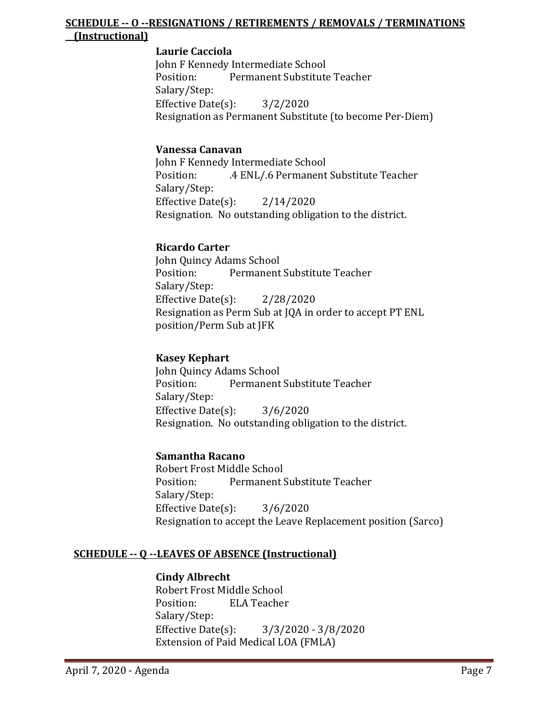#### **SCHEDULE -- O --RESIGNATIONS / RETIREMENTS / REMOVALS / TERMINATIONS (Instructional)**

#### **Laurie Cacciola**

John F Kennedy Intermediate School<br>Position: Permanent Substitute Permanent Substitute Teacher Salary/Step: Effective Date(s): 3/2/2020 Resignation as Permanent Substitute (to become Per-Diem)

#### **Vanessa Canavan**

John F Kennedy Intermediate School .4 ENL/.6 Permanent Substitute Teacher Salary/Step: Effective Date(s): 2/14/2020 Resignation. No outstanding obligation to the district.

#### **Ricardo Carter**

John Quincy Adams School Permanent Substitute Teacher Salary/Step: Effective Date(s): 2/28/2020 Resignation as Perm Sub at JQA in order to accept PT ENL position/Perm Sub at JFK

#### **Kasey Kephart**

John Quincy Adams School<br>Position: Permanent Permanent Substitute Teacher Salary/Step: Effective Date(s): 3/6/2020 Resignation. No outstanding obligation to the district.

#### **Samantha Racano**

Robert Frost Middle School<br>Position: Permanent ! Permanent Substitute Teacher Salary/Step: Effective Date(s): 3/6/2020 Resignation to accept the Leave Replacement position (Sarco)

#### **SCHEDULE -- Q --LEAVES OF ABSENCE (Instructional)**

#### **Cindy Albrecht**

Robert Frost Middle School<br>Position: ELA Teacher **ELA Teacher** Salary/Step: Effective Date(s): 3/3/2020 - 3/8/2020 Extension of Paid Medical LOA (FMLA)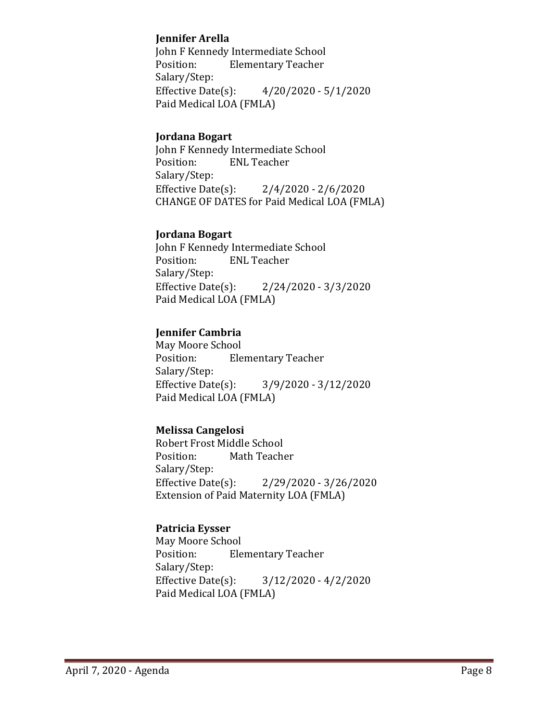#### **Jennifer Arella**

John F Kennedy Intermediate School<br>Position: Elementary Teacher **Elementary Teacher** Salary/Step:<br>Effective Date(s):  $4/20/2020 - 5/1/2020$ Paid Medical LOA (FMLA)

#### **Jordana Bogart**

John F Kennedy Intermediate School<br>Position: ENL Teacher **ENL Teacher** Salary/Step: Effective Date(s): 2/4/2020 - 2/6/2020 CHANGE OF DATES for Paid Medical LOA (FMLA)

#### **Jordana Bogart**

John F Kennedy Intermediate School<br>Position: ENL Teacher **ENL Teacher** Salary/Step:<br>Effective Date(s):  $2/24/2020 - 3/3/2020$ Paid Medical LOA (FMLA)

#### **Jennifer Cambria**

May Moore School<br>Position: Ele **Elementary Teacher** Salary/Step:<br>Effective Date(s):  $3/9/2020 - 3/12/2020$ Paid Medical LOA (FMLA)

### **Melissa Cangelosi**

Robert Frost Middle School<br>Position: Math Teach Math Teacher Salary/Step:<br>Effective Date(s):  $2/29/2020 - 3/26/2020$ Extension of Paid Maternity LOA (FMLA)

#### **Patricia Eysser**

May Moore School<br>Position: Ele **Elementary Teacher** Salary/Step:<br>Effective Date(s):  $3/12/2020 - 4/2/2020$ Paid Medical LOA (FMLA)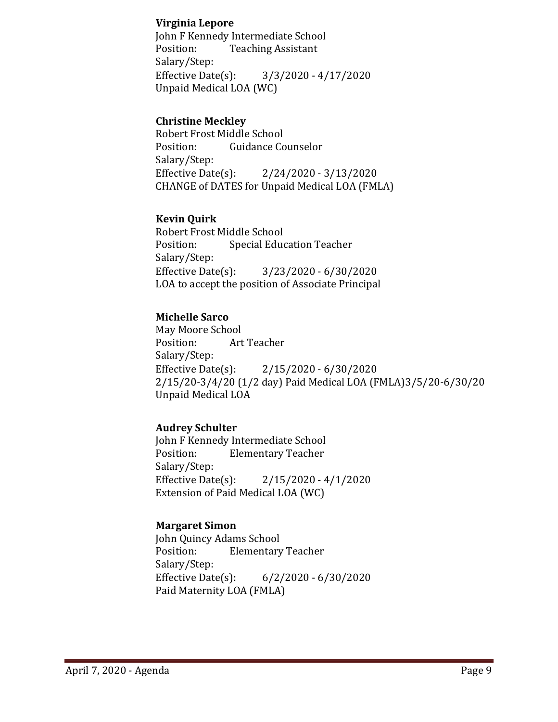#### **Virginia Lepore**

John F Kennedy Intermediate School<br>Position: Teaching Assistant **Teaching Assistant** Salary/Step:<br>Effective Date(s):  $3/3/2020 - 4/17/2020$ Unpaid Medical LOA (WC)

#### **Christine Meckley**

Robert Frost Middle School<br>Position: Guidance Co **Guidance Counselor** Salary/Step:<br>Effective Date(s): Effective Date(s): 2/24/2020 - 3/13/2020 CHANGE of DATES for Unpaid Medical LOA (FMLA)

#### **Kevin Quirk**

Robert Frost Middle School<br>Position: Special Educ **Special Education Teacher** Salary/Step:<br>Effective Date(s):  $3/23/2020 - 6/30/2020$ LOA to accept the position of Associate Principal

#### **Michelle Sarco**

May Moore School Art Teacher Salary/Step:<br>Effective Date(s):  $2/15/2020 - 6/30/2020$ 2/15/20-3/4/20 (1/2 day) Paid Medical LOA (FMLA)3/5/20-6/30/20 Unpaid Medical LOA

### **Audrey Schulter**

John F Kennedy Intermediate School **Elementary Teacher** Salary/Step:<br>Effective Date(s):  $2/15/2020 - 4/1/2020$ Extension of Paid Medical LOA (WC)

### **Margaret Simon**

John Quincy Adams School<br>Position: Elementary **Elementary Teacher** Salary/Step:<br>Effective Date(s):  $6/2/2020 - 6/30/2020$ Paid Maternity LOA (FMLA)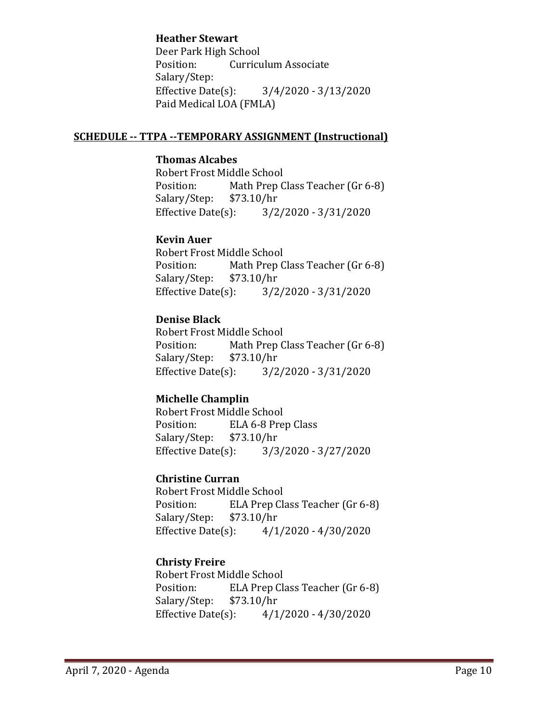#### **Heather Stewart**

Deer Park High School<br>Position: Curricu **Curriculum Associate** Salary/Step:<br>Effective Date(s):  $3/4/2020 - 3/13/2020$ Paid Medical LOA (FMLA)

#### **SCHEDULE -- TTPA --TEMPORARY ASSIGNMENT (Instructional)**

#### **Thomas Alcabes**

Robert Frost Middle School<br>Position: Math Prep C Math Prep Class Teacher (Gr 6-8)<br>\$73.10/hr Salary/Step: \$7.<br>Effective Date(s):  $3/2/2020 - 3/31/2020$ 

#### **Kevin Auer**

Robert Frost Middle School Math Prep Class Teacher (Gr 6-8)<br>\$73.10/hr Salary/Step: \$7<br>Effective Date(s):  $3/2/2020 - 3/31/2020$ 

### **Denise Black**

Robert Frost Middle School<br>Position: Math Prep C Math Prep Class Teacher (Gr 6-8)<br>\$73.10/hr Salary/Step: \$7<br>Effective Date(s):  $3/2/2020 - 3/31/2020$ 

### **Michelle Champlin**

Robert Frost Middle School<br>Position: ELA 6-8 Pre ELA 6-8 Prep Class<br>\$73.10/hr Salary/Step: \$7<br>Effective Date(s):  $3/3/2020 - 3/27/2020$ 

### **Christine Curran**

Robert Frost Middle School<br>Position: ELA Prep Cla ELA Prep Class Teacher (Gr 6-8)<br>\$73.10/hr Salary/Step: Effective Date(s): 4/1/2020 - 4/30/2020

## **Christy Freire**

Robert Frost Middle School ELA Prep Class Teacher (Gr 6-8)<br>\$73.10/hr Salary/Step: Effective Date(s): 4/1/2020 - 4/30/2020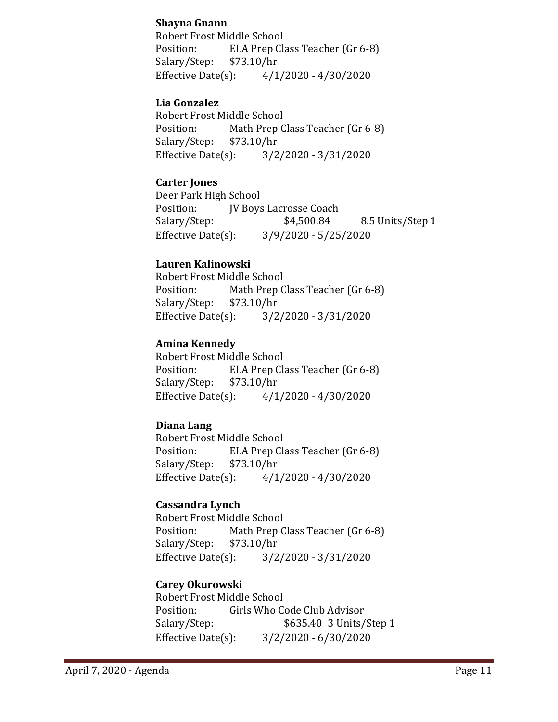### **Shayna Gnann**

Robert Frost Middle School Position: ELA Prep Class Teacher (Gr 6-8)<br>Salary/Step: \$73.10/hr Salary/Step: \$7<br>Effective Date(s):  $4/1/2020 - 4/30/2020$ 

#### **Lia Gonzalez**

Robert Frost Middle School<br>Position: Math Prep C Math Prep Class Teacher (Gr 6-8)<br>\$73.10/hr Salary/Step: \$7<br>Effective Date(s):  $3/2/2020 - 3/31/2020$ 

#### **Carter Jones**

Deer Park High School<br>Position: IV Bovs Position: JV Boys Lacrosse Coach<br>Salary/Step: \$4,500.84 8.5 Units/Step 1 Effective Date(s): 3/9/2020 - 5/25/2020

#### **Lauren Kalinowski**

Robert Frost Middle School<br>Position: Math Prep C Math Prep Class Teacher (Gr 6-8)<br>\$73.10/hr Salary/Step: \$7<br>Effective Date(s):  $3/2/2020 - 3/31/2020$ 

### **Amina Kennedy**

Robert Frost Middle School<br>Position: ELA Prep Cla ELA Prep Class Teacher (Gr 6-8)<br>\$73.10/hr Salary/Step: \$7<br>Effective Date(s):  $4/1/2020 - 4/30/2020$ 

### **Diana Lang**

Robert Frost Middle School<br>Position: ELA Prep Cl ELA Prep Class Teacher (Gr 6-8)<br>\$73.10/hr Salary/Step: Effective Date(s): 4/1/2020 - 4/30/2020

#### **Cassandra Lynch**

Robert Frost Middle School<br>Position: Math Prep C Math Prep Class Teacher (Gr 6-8)<br>\$73.10/hr Salary/Step: \$7.<br>Effective Date(s):  $3/2/2020 - 3/31/2020$ 

### **Carey Okurowski**

Robert Frost Middle School<br>Position: Girls Who C Position: Girls Who Code Club Advisor<br>Salary/Step: \$635.40 3 Units/ \$635.40 3 Units/Step 1 Effective Date(s): 3/2/2020 - 6/30/2020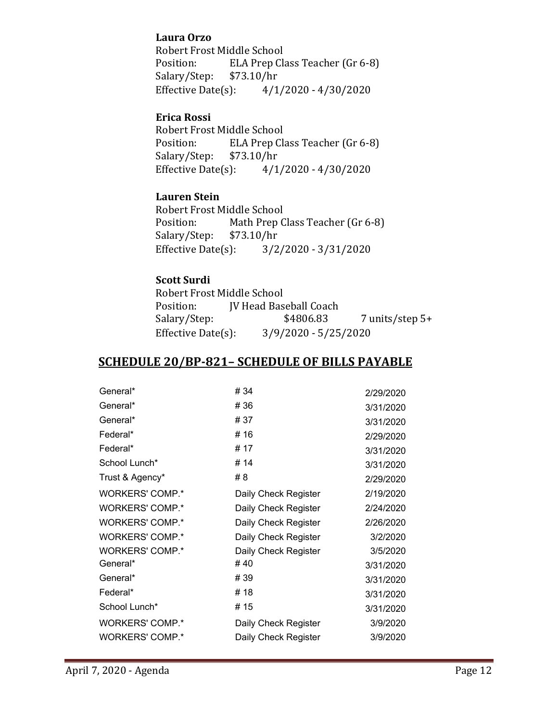#### **Laura Orzo**

Robert Frost Middle School<br>Position: ELA Prep Cla ELA Prep Class Teacher (Gr 6-8)<br>\$73.10/hr Salary/Step: \$7<br>Effective Date(s):  $4/1/2020 - 4/30/2020$ 

#### **Erica Rossi**

Robert Frost Middle School<br>Position: ELA Prep Cla ELA Prep Class Teacher (Gr 6-8)<br>\$73.10/hr Salary/Step: \$7<br>Effective Date(s):  $4/1/2020 - 4/30/2020$ 

#### **Lauren Stein**

Robert Frost Middle School<br>Position: Math Prep C Math Prep Class Teacher (Gr 6-8)<br>\$73.10/hr Salary/Step: Effective Date(s): 3/2/2020 - 3/31/2020

#### **Scott Surdi**

Robert Frost Middle School<br>Position: **IV** Head Bas Position: JV Head Baseball Coach<br>Salary/Step: \$4806.83  $7$  units/step  $5+$ Effective Date(s): 3/9/2020 - 5/25/2020

## **SCHEDULE 20/BP-821– SCHEDULE OF BILLS PAYABLE**

| General*               | #34                  | 2/29/2020 |
|------------------------|----------------------|-----------|
| General*               | #36                  | 3/31/2020 |
| General*               | #37                  | 3/31/2020 |
| Federal*               | # 16                 | 2/29/2020 |
| Federal*               | # 17                 | 3/31/2020 |
| School Lunch*          | # 14                 | 3/31/2020 |
| Trust & Agency*        | #8                   | 2/29/2020 |
| <b>WORKERS' COMP.*</b> | Daily Check Register | 2/19/2020 |
| <b>WORKERS' COMP.*</b> | Daily Check Register | 2/24/2020 |
| WORKERS' COMP.*        | Daily Check Register | 2/26/2020 |
| <b>WORKERS' COMP.*</b> | Daily Check Register | 3/2/2020  |
| <b>WORKERS' COMP.*</b> | Daily Check Register | 3/5/2020  |
| General*               | #40                  | 3/31/2020 |
| General*               | #39                  | 3/31/2020 |
| Federal*               | # 18                 | 3/31/2020 |
| School Lunch*          | # 15                 | 3/31/2020 |
| <b>WORKERS' COMP.*</b> | Daily Check Register | 3/9/2020  |
| <b>WORKERS' COMP.*</b> | Daily Check Register | 3/9/2020  |
|                        |                      |           |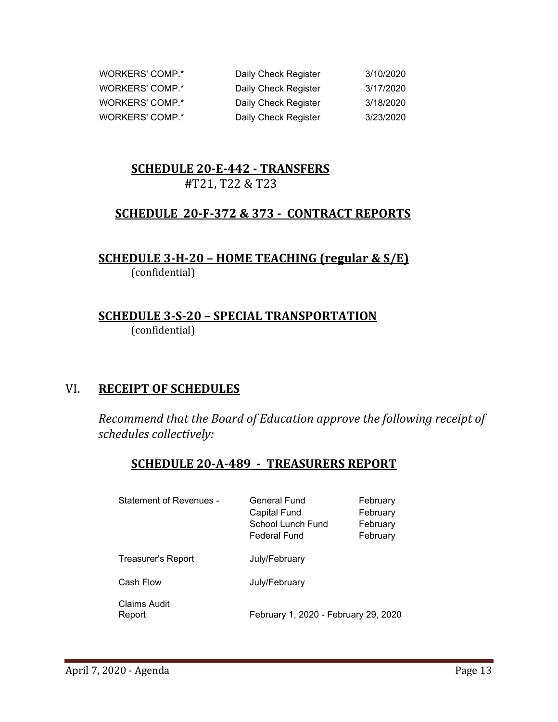| WORKERS' COMP.* | Daily Check Register | 3/10/2020 |
|-----------------|----------------------|-----------|
| WORKERS' COMP.* | Daily Check Register | 3/17/2020 |
| WORKERS' COMP.* | Daily Check Register | 3/18/2020 |
| WORKERS' COMP.* | Daily Check Register | 3/23/2020 |

# **SCHEDULE 20-E-442 - TRANSFERS**

 **#**T21, T22 & T23

## **SCHEDULE 20-F-372 & 373 - CONTRACT REPORTS**

**SCHEDULE 3-H-20 – HOME TEACHING (regular & S/E)**  (confidential)

## **SCHEDULE 3-S-20 – SPECIAL TRANSPORTATION**  (confidential)

### VI. **RECEIPT OF SCHEDULES**

*Recommend that the Board of Education approve the following receipt of schedules collectively:*

### **SCHEDULE 20-A-489 - TREASURERS REPORT**

| <b>Statement of Revenues -</b> | General Fund<br><b>Capital Fund</b><br>School Lunch Fund<br>Federal Fund | February<br>February<br>February<br>February |
|--------------------------------|--------------------------------------------------------------------------|----------------------------------------------|
| Treasurer's Report             | July/February                                                            |                                              |
| Cash Flow                      | July/February                                                            |                                              |
| Claims Audit<br>Report         | February 1, 2020 - February 29, 2020                                     |                                              |